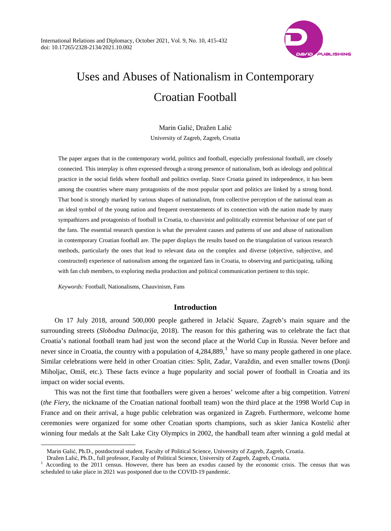

# Uses and Abuses of Nationalism in Contemporary Croatian Football

Marin Galić, Dražen Lalić University of Zagreb, Zagreb, Croatia

The paper argues that in the contemporary world, politics and football, especially professional football, are closely connected. This interplay is often expressed through a strong presence of nationalism, both as ideology and political practice in the social fields where football and politics overlap. Since Croatia gained its independence, it has been among the countries where many protagonists of the most popular sport and politics are linked by a strong bond. That bond is strongly marked by various shapes of nationalism, from collective perception of the national team as an ideal symbol of the young nation and frequent overstatements of its connection with the nation made by many sympathizers and protagonists of football in Croatia, to chauvinist and politically extremist behaviour of one part of the fans. The essential research question is what the prevalent causes and patterns of use and abuse of nationalism in contemporary Croatian football are. The paper displays the results based on the triangulation of various research methods, particularly the ones that lead to relevant data on the complex and diverse (objective, subjective, and constructed) experience of nationalism among the organized fans in Croatia, to observing and participating, talking with fan club members, to exploring media production and political communication pertinent to this topic.

*Keywords:* Football, Nationalisms, Chauvinism, Fans

 $\ddot{ }$ 

## **Introduction**

On 17 July 2018, around 500,000 people gathered in Jelačić Square, Zagreb's main square and the surrounding streets (*Slobodna Dalmacija*, 2018). The reason for this gathering was to celebrate the fact that Croatia's national football team had just won the second place at the World Cup in Russia. Never before and never since in Croatia, the country with a population of  $4,284,889$ ,  $1$  have so many people gathered in one place. Similar celebrations were held in other Croatian cities: Split, Zadar, Varaždin, and even smaller towns (Donji Miholjac, Omiš, etc.). These facts evince a huge popularity and social power of football in Croatia and its impact on wider social events.

This was not the first time that footballers were given a heroes' welcome after a big competition. *Vatreni* (*the Fiery*, the nickname of the Croatian national football team) won the third place at the 1998 World Cup in France and on their arrival, a huge public celebration was organized in Zagreb. Furthermore, welcome home ceremonies were organized for some other Croatian sports champions, such as skier Janica Kostelić after winning four medals at the Salt Lake City Olympics in 2002, the handball team after winning a gold medal at

Marin Galić, Ph.D., postdoctoral student, Faculty of Political Science, University of Zagreb, Zagreb, Croatia.

<span id="page-0-0"></span>Dražen Lalić, Ph.D., full professor, Faculty of Political Science, University of Zagreb, Zagreb, Croatia. <sup>1</sup> According to the 2011 census. However, there has been an exodus caused by the economic crisis. The census that was scheduled to take place in 2021 was postponed due to the COVID-19 pandemic.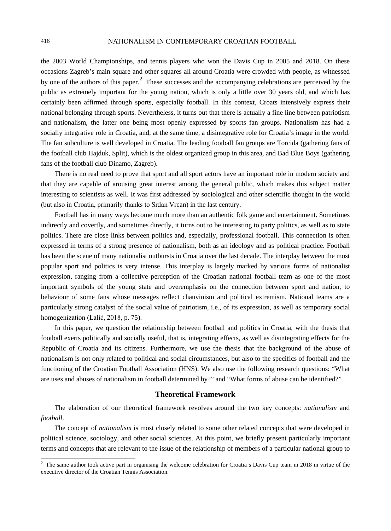the 2003 World Championships, and tennis players who won the Davis Cup in 2005 and 2018. On these occasions Zagreb's main square and other squares all around Croatia were crowded with people, as witnessed by one of the authors of this paper.<sup>[2](#page-1-0)</sup> These successes and the accompanying celebrations are perceived by the public as extremely important for the young nation, which is only a little over 30 years old, and which has certainly been affirmed through sports, especially football. In this context, Croats intensively express their national belonging through sports. Nevertheless, it turns out that there is actually a fine line between patriotism and nationalism, the latter one being most openly expressed by sports fan groups. Nationalism has had a socially integrative role in Croatia, and, at the same time, a disintegrative role for Croatia's image in the world. The fan subculture is well developed in Croatia. The leading football fan groups are Torcida (gathering fans of the football club Hajduk, Split), which is the oldest organized group in this area, and Bad Blue Boys (gathering fans of the football club Dinamo, Zagreb).

There is no real need to prove that sport and all sport actors have an important role in modern society and that they are capable of arousing great interest among the general public, which makes this subject matter interesting to scientists as well. It was first addressed by sociological and other scientific thought in the world (but also in Croatia, primarily thanks to Srđan Vrcan) in the last century.

Football has in many ways become much more than an authentic folk game and entertainment. Sometimes indirectly and covertly, and sometimes directly, it turns out to be interesting to party politics, as well as to state politics. There are close links between politics and, especially, professional football. This connection is often expressed in terms of a strong presence of nationalism, both as an ideology and as political practice. Football has been the scene of many nationalist outbursts in Croatia over the last decade. The interplay between the most popular sport and politics is very intense. This interplay is largely marked by various forms of nationalist expression, ranging from a collective perception of the Croatian national football team as one of the most important symbols of the young state and overemphasis on the connection between sport and nation, to behaviour of some fans whose messages reflect chauvinism and political extremism. National teams are a particularly strong catalyst of the social value of patriotism, i.e., of its expression, as well as temporary social homogenization (Lalić, 2018, p. 75).

In this paper, we question the relationship between football and politics in Croatia, with the thesis that football exerts politically and socially useful, that is, integrating effects, as well as disintegrating effects for the Republic of Croatia and its citizens. Furthermore, we use the thesis that the background of the abuse of nationalism is not only related to political and social circumstances, but also to the specifics of football and the functioning of the Croatian Football Association (HNS). We also use the following research questions: "What are uses and abuses of nationalism in football determined by?" and "What forms of abuse can be identified?"

## **Theoretical Framework**

The elaboration of our theoretical framework revolves around the two key concepts: *nationalism* and *football*.

The concept of *nationalism* is most closely related to some other related concepts that were developed in political science, sociology, and other social sciences. At this point, we briefly present particularly important terms and concepts that are relevant to the issue of the relationship of members of a particular national group to

<span id="page-1-0"></span><sup>&</sup>lt;sup>2</sup> The same author took active part in organising the welcome celebration for Croatia's Davis Cup team in 2018 in virtue of the executive director of the Croatian Tennis Association.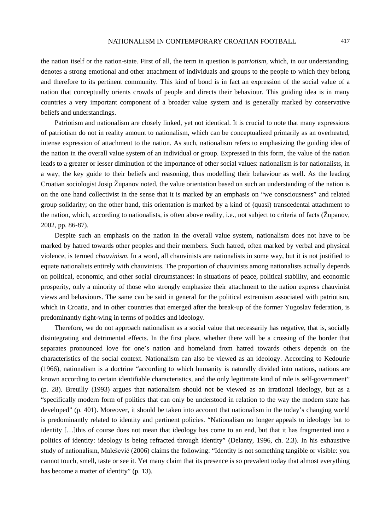the nation itself or the nation-state. First of all, the term in question is *patriotism*, which, in our understanding, denotes a strong emotional and other attachment of individuals and groups to the people to which they belong and therefore to its pertinent community. This kind of bond is in fact an expression of the social value of a nation that conceptually orients crowds of people and directs their behaviour. This guiding idea is in many countries a very important component of a broader value system and is generally marked by conservative beliefs and understandings.

Patriotism and nationalism are closely linked, yet not identical. It is crucial to note that many expressions of patriotism do not in reality amount to nationalism, which can be conceptualized primarily as an overheated, intense expression of attachment to the nation. As such, nationalism refers to emphasizing the guiding idea of the nation in the overall value system of an individual or group. Expressed in this form, the value of the nation leads to a greater or lesser diminution of the importance of other social values: nationalism is for nationalists, in a way, the key guide to their beliefs and reasoning, thus modelling their behaviour as well. As the leading Croatian sociologist Josip Županov noted, the value orientation based on such an understanding of the nation is on the one hand collectivist in the sense that it is marked by an emphasis on "we consciousness" and related group solidarity; on the other hand, this orientation is marked by a kind of (quasi) transcedental attachment to the nation, which, according to nationalists, is often above reality, i.e., not subject to criteria of facts (Županov, 2002, pp. 86-87).

Despite such an emphasis on the nation in the overall value system, nationalism does not have to be marked by hatred towards other peoples and their members. Such hatred, often marked by verbal and physical violence, is termed *chauvinism*. In a word, all chauvinists are nationalists in some way, but it is not justified to equate nationalists entirely with chauvinists. The proportion of chauvinists among nationalists actually depends on political, economic, and other social circumstances: in situations of peace, political stability, and economic prosperity, only a minority of those who strongly emphasize their attachment to the nation express chauvinist views and behaviours. The same can be said in general for the political extremism associated with patriotism, which in Croatia, and in other countries that emerged after the break-up of the former Yugoslav federation, is predominantly right-wing in terms of politics and ideology.

Therefore, we do not approach nationalism as a social value that necessarily has negative, that is, socially disintegrating and detrimental effects. In the first place, whether there will be a crossing of the border that separates pronounced love for one's nation and homeland from hatred towards others depends on the characteristics of the social context. Nationalism can also be viewed as an ideology. According to Kedourie (1966), nationalism is a doctrine "according to which humanity is naturally divided into nations, nations are known according to certain identifiable characteristics, and the only legitimate kind of rule is self-government" (p. 28). Breuilly (1993) argues that nationalism should not be viewed as an irrational ideology, but as a "specifically modern form of politics that can only be understood in relation to the way the modern state has developed" (p. 401). Moreover, it should be taken into account that nationalism in the today's changing world is predominantly related to identity and pertinent policies. "Nationalism no longer appeals to ideology but to identity […]this of course does not mean that ideology has come to an end, but that it has fragmented into a politics of identity: ideology is being refracted through identity" (Delanty, 1996, ch. 2.3). In his exhaustive study of nationalism, Malešević (2006) claims the following: "Identity is not something tangible or visible: you cannot touch, smell, taste or see it. Yet many claim that its presence is so prevalent today that almost everything has become a matter of identity" (p. 13).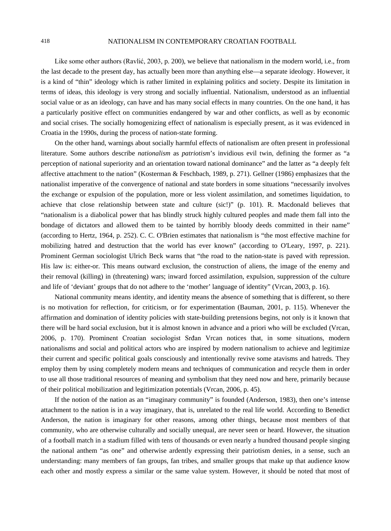Like some other authors (Ravlić, 2003, p. 200), we believe that nationalism in the modern world, i.e., from the last decade to the present day, has actually been more than anything else—a separate ideology. However, it is a kind of "thin" ideology which is rather limited in explaining politics and society. Despite its limitation in terms of ideas, this ideology is very strong and socially influential. Nationalism, understood as an influential social value or as an ideology, can have and has many social effects in many countries. On the one hand, it has a particularly positive effect on communities endangered by war and other conflicts, as well as by economic and social crises. The socially homogenizing effect of nationalism is especially present, as it was evidenced in Croatia in the 1990s, during the process of nation-state forming.

On the other hand, warnings about socially harmful effects of nationalism are often present in professional literature. Some authors describe *nationalism* as *patriotism*'s invidious evil twin, defining the former as "a perception of national superiority and an orientation toward national dominance" and the latter as "a deeply felt affective attachment to the nation" (Kosterman & Feschbach, 1989, p. 271). Gellner (1986) emphasizes that the nationalist imperative of the convergence of national and state borders in some situations "necessarily involves the exchange or expulsion of the population, more or less violent assimilation, and sometimes liquidation, to achieve that close relationship between state and culture (sic!)" (p. 101). R. Macdonald believes that "nationalism is a diabolical power that has blindly struck highly cultured peoples and made them fall into the bondage of dictators and allowed them to be tainted by horribly bloody deeds committed in their name" (according to Hertz, 1964, p. 252). C. C. O'Brien estimates that nationalism is "the most effective machine for mobilizing hatred and destruction that the world has ever known" (according to O'Leary, 1997, p. 221). Prominent German sociologist Ulrich Beck warns that "the road to the nation-state is paved with repression. His law is: either-or. This means outward exclusion, the construction of aliens, the image of the enemy and their removal (killing) in (threatening) wars; inward forced assimilation, expulsion, suppression of the culture and life of 'deviant' groups that do not adhere to the 'mother' language of identity" (Vrcan, 2003, p. 16).

National community means identity, and identity means the absence of something that is different, so there is no motivation for reflection, for criticism, or for experimentation (Bauman, 2001, p. 115). Whenever the affirmation and domination of identity policies with state-building pretensions begins, not only is it known that there will be hard social exclusion, but it is almost known in advance and a priori who will be excluded (Vrcan, 2006, p. 170). Prominent Croatian sociologist Srđan Vrcan notices that, in some situations, modern nationalisms and social and political actors who are inspired by modern nationalism to achieve and legitimize their current and specific political goals consciously and intentionally revive some atavisms and hatreds. They employ them by using completely modern means and techniques of communication and recycle them in order to use all those traditional resources of meaning and symbolism that they need now and here, primarily because of their political mobilization and legitimization potentials (Vrcan, 2006, p. 45).

If the notion of the nation as an "imaginary community" is founded (Anderson, 1983), then one's intense attachment to the nation is in a way imaginary, that is, unrelated to the real life world. According to Benedict Anderson, the nation is imaginary for other reasons, among other things, because most members of that community, who are otherwise culturally and socially unequal, are never seen or heard. However, the situation of a football match in a stadium filled with tens of thousands or even nearly a hundred thousand people singing the national anthem "as one" and otherwise ardently expressing their patriotism denies, in a sense, such an understanding: many members of fan groups, fan tribes, and smaller groups that make up that audience know each other and mostly express a similar or the same value system. However, it should be noted that most of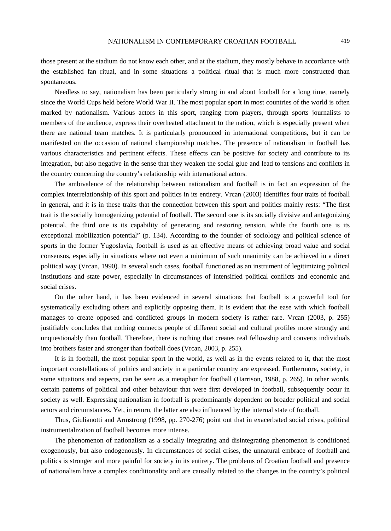those present at the stadium do not know each other, and at the stadium, they mostly behave in accordance with the established fan ritual, and in some situations a political ritual that is much more constructed than spontaneous.

Needless to say, nationalism has been particularly strong in and about football for a long time, namely since the World Cups held before World War II. The most popular sport in most countries of the world is often marked by nationalism. Various actors in this sport, ranging from players, through sports journalists to members of the audience, express their overheated attachment to the nation, which is especially present when there are national team matches. It is particularly pronounced in international competitions, but it can be manifested on the occasion of national championship matches. The presence of nationalism in football has various characteristics and pertinent effects. These effects can be positive for society and contribute to its integration, but also negative in the sense that they weaken the social glue and lead to tensions and conflicts in the country concerning the country's relationship with international actors.

The ambivalence of the relationship between nationalism and football is in fact an expression of the complex interrelationship of this sport and politics in its entirety. Vrcan (2003) identifies four traits of football in general, and it is in these traits that the connection between this sport and politics mainly rests: "The first trait is the socially homogenizing potential of football. The second one is its socially divisive and antagonizing potential, the third one is its capability of generating and restoring tension, while the fourth one is its exceptional mobilization potential" (p. 134). According to the founder of sociology and political science of sports in the former Yugoslavia, football is used as an effective means of achieving broad value and social consensus, especially in situations where not even a minimum of such unanimity can be achieved in a direct political way (Vrcan, 1990). In several such cases, football functioned as an instrument of legitimizing political institutions and state power, especially in circumstances of intensified political conflicts and economic and social crises.

On the other hand, it has been evidenced in several situations that football is a powerful tool for systematically excluding others and explicitly opposing them. It is evident that the ease with which football manages to create opposed and conflicted groups in modern society is rather rare. Vrcan (2003, p. 255) justifiably concludes that nothing connects people of different social and cultural profiles more strongly and unquestionably than football. Therefore, there is nothing that creates real fellowship and converts individuals into brothers faster and stronger than football does (Vrcan, 2003, p. 255).

It is in football, the most popular sport in the world, as well as in the events related to it, that the most important constellations of politics and society in a particular country are expressed. Furthermore, society, in some situations and aspects, can be seen as a metaphor for football (Harrison, 1988, p. 265). In other words, certain patterns of political and other behaviour that were first developed in football, subsequently occur in society as well. Expressing nationalism in football is predominantly dependent on broader political and social actors and circumstances. Yet, in return, the latter are also influenced by the internal state of football.

Thus, Giulianotti and Armstrong (1998, pp. 270-276) point out that in exacerbated social crises, political instrumentalization of football becomes more intense.

The phenomenon of nationalism as a socially integrating and disintegrating phenomenon is conditioned exogenously, but also endogenously. In circumstances of social crises, the unnatural embrace of football and politics is stronger and more painful for society in its entirety. The problems of Croatian football and presence of nationalism have a complex conditionality and are causally related to the changes in the country's political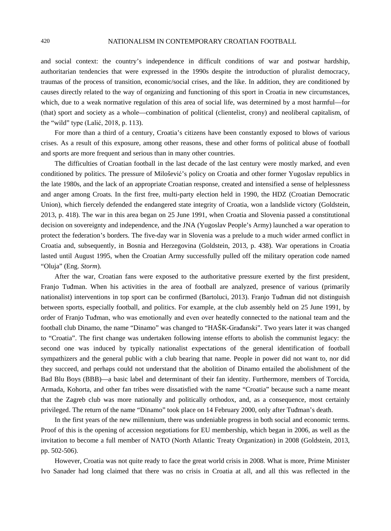and social context: the country's independence in difficult conditions of war and postwar hardship, authoritarian tendencies that were expressed in the 1990s despite the introduction of pluralist democracy, traumas of the process of transition, economic/social crises, and the like. In addition, they are conditioned by causes directly related to the way of organizing and functioning of this sport in Croatia in new circumstances, which, due to a weak normative regulation of this area of social life, was determined by a most harmful—for (that) sport and society as a whole—combination of political (clientelist, crony) and neoliberal capitalism, of the "wild" type (Lalić, 2018, p. 113).

For more than a third of a century, Croatia's citizens have been constantly exposed to blows of various crises. As a result of this exposure, among other reasons, these and other forms of political abuse of football and sports are more frequent and serious than in many other countries.

The difficulties of Croatian football in the last decade of the last century were mostly marked, and even conditioned by politics. The pressure of Milošević's policy on Croatia and other former Yugoslav republics in the late 1980s, and the lack of an appropriate Croatian response, created and intensified a sense of helplessness and anger among Croats. In the first free, multi-party election held in 1990, the HDZ (Croatian Democratic Union), which fiercely defended the endangered state integrity of Croatia, won a landslide victory (Goldstein, 2013, p. 418). The war in this area began on 25 June 1991, when Croatia and Slovenia passed a constitutional decision on sovereignty and independence, and the JNA (Yugoslav People's Army) launched a war operation to protect the federation's borders. The five-day war in Slovenia was a prelude to a much wider armed conflict in Croatia and, subsequently, in Bosnia and Herzegovina (Goldstein, 2013, p. 438). War operations in Croatia lasted until August 1995, when the Croatian Army successfully pulled off the military operation code named "Oluja" (Eng. *Storm*).

After the war, Croatian fans were exposed to the authoritative pressure exerted by the first president, Franjo Tuđman. When his activities in the area of football are analyzed, presence of various (primarily nationalist) interventions in top sport can be confirmed (Bartoluci, 2013). Franjo Tuđman did not distinguish between sports, especially football, and politics. For example, at the club assembly held on 25 June 1991, by order of Franjo Tuđman, who was emotionally and even over heatedly connected to the national team and the football club Dinamo, the name "Dinamo" was changed to "HAŠK-Građanski". Two years later it was changed to "Croatia". The first change was undertaken following intense efforts to abolish the communist legacy: the second one was induced by typically nationalist expectations of the general identification of football sympathizers and the general public with a club bearing that name. People in power did not want to, nor did they succeed, and perhaps could not understand that the abolition of Dinamo entailed the abolishment of the Bad Blu Boys (BBB)—a basic label and determinant of their fan identity. Furthermore, members of Torcida, Armada, Kohorta, and other fan tribes were dissatisfied with the name "Croatia" because such a name meant that the Zagreb club was more nationally and politically orthodox, and, as a consequence, most certainly privileged. The return of the name "Dinamo" took place on 14 February 2000, only after Tuđman's death.

In the first years of the new millennium, there was undeniable progress in both social and economic terms. Proof of this is the opening of accession negotiations for EU membership, which began in 2006, as well as the invitation to become a full member of NATO (North Atlantic Treaty Organization) in 2008 (Goldstein, 2013, pp. 502-506).

However, Croatia was not quite ready to face the great world crisis in 2008. What is more, Prime Minister Ivo Sanader had long claimed that there was no crisis in Croatia at all, and all this was reflected in the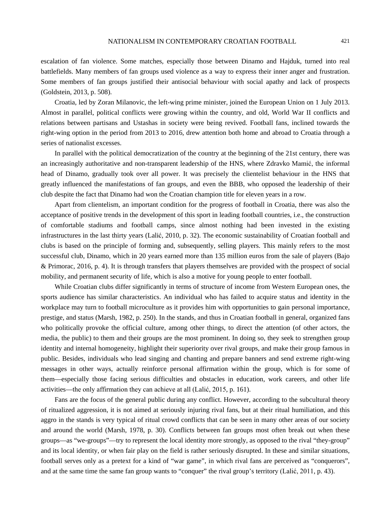escalation of fan violence. Some matches, especially those between Dinamo and Hajduk, turned into real battlefields. Many members of fan groups used violence as a way to express their inner anger and frustration. Some members of fan groups justified their antisocial behaviour with social apathy and lack of prospects (Goldstein, 2013, p. 508).

Croatia, led by Zoran Milanovic, the left-wing prime minister, joined the European Union on 1 July 2013. Almost in parallel, political conflicts were growing within the country, and old, World War II conflicts and relations between partisans and Ustashas in society were being revived. Football fans, inclined towards the right-wing option in the period from 2013 to 2016, drew attention both home and abroad to Croatia through a series of nationalist excesses.

In parallel with the political democratization of the country at the beginning of the 21st century, there was an increasingly authoritative and non-transparent leadership of the HNS, where Zdravko Mamić, the informal head of Dinamo, gradually took over all power. It was precisely the clientelist behaviour in the HNS that greatly influenced the manifestations of fan groups, and even the BBB, who opposed the leadership of their club despite the fact that Dinamo had won the Croatian champion title for eleven years in a row.

Apart from clientelism, an important condition for the progress of football in Croatia, there was also the acceptance of positive trends in the development of this sport in leading football countries, i.e., the construction of comfortable stadiums and football camps, since almost nothing had been invested in the existing infrastructures in the last thirty years (Lalić, 2010, p. 32). The economic sustainability of Croatian football and clubs is based on the principle of forming and, subsequently, selling players. This mainly refers to the most successful club, Dinamo, which in 20 years earned more than 135 million euros from the sale of players (Bajo & Primorac, 2016, p. 4). It is through transfers that players themselves are provided with the prospect of social mobility, and permanent security of life, which is also a motive for young people to enter football.

While Croatian clubs differ significantly in terms of structure of income from Western European ones, the sports audience has similar characteristics. An individual who has failed to acquire status and identity in the workplace may turn to football microculture as it provides him with opportunities to gain personal importance, prestige, and status (Marsh, 1982, p. 250). In the stands, and thus in Croatian football in general, organized fans who politically provoke the official culture, among other things, to direct the attention (of other actors, the media, the public) to them and their groups are the most prominent. In doing so, they seek to strengthen group identity and internal homogeneity, highlight their superiority over rival groups, and make their group famous in public. Besides, individuals who lead singing and chanting and prepare banners and send extreme right-wing messages in other ways, actually reinforce personal affirmation within the group, which is for some of them—especially those facing serious difficulties and obstacles in education, work careers, and other life activities—the only affirmation they can achieve at all (Lalić, 2015, p. 161).

Fans are the focus of the general public during any conflict. However, according to the subcultural theory of ritualized aggression, it is not aimed at seriously injuring rival fans, but at their ritual humiliation, and this aggro in the stands is very typical of ritual crowd conflicts that can be seen in many other areas of our society and around the world (Marsh, 1978, p. 30). Conflicts between fan groups most often break out when these groups—as "we-groups"—try to represent the local identity more strongly, as opposed to the rival "they-group" and its local identity, or when fair play on the field is rather seriously disrupted. In these and similar situations, football serves only as a pretext for a kind of "war game", in which rival fans are perceived as "conquerors", and at the same time the same fan group wants to "conquer" the rival group's territory (Lalić, 2011, p. 43).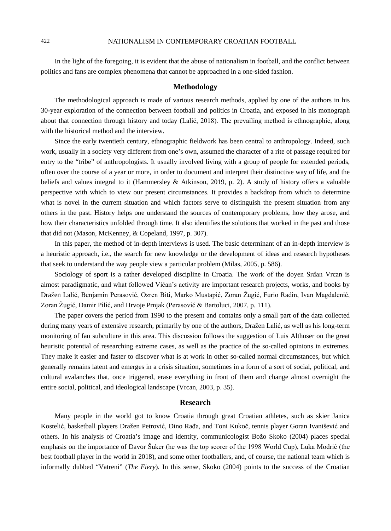In the light of the foregoing, it is evident that the abuse of nationalism in football, and the conflict between politics and fans are complex phenomena that cannot be approached in a one-sided fashion.

# **Methodology**

The methodological approach is made of various research methods, applied by one of the authors in his 30-year exploration of the connection between football and politics in Croatia, and exposed in his monograph about that connection through history and today (Lalić, 2018). The prevailing method is ethnographic, along with the historical method and the interview.

Since the early twentieth century, ethnographic fieldwork has been central to anthropology. Indeed, such work, usually in a society very different from one's own, assumed the character of a rite of passage required for entry to the "tribe" of anthropologists. It usually involved living with a group of people for extended periods, often over the course of a year or more, in order to document and interpret their distinctive way of life, and the beliefs and values integral to it (Hammersley & Atkinson, 2019, p. 2). A study of history offers a valuable perspective with which to view our present circumstances. It provides a backdrop from which to determine what is novel in the current situation and which factors serve to distinguish the present situation from any others in the past. History helps one understand the sources of contemporary problems, how they arose, and how their characteristics unfolded through time. It also identifies the solutions that worked in the past and those that did not (Mason, McKenney, & Copeland, 1997, p. 307).

In this paper, the method of in-depth interviews is used. The basic determinant of an in-depth interview is a heuristic approach, i.e., the search for new knowledge or the development of ideas and research hypotheses that seek to understand the way people view a particular problem (Milas, 2005, p. 586).

Sociology of sport is a rather developed discipline in Croatia. The work of the doyen Srđan Vrcan is almost paradigmatic, and what followed Vićan's activity are important research projects, works, and books by Dražen Lalić, Benjamin Perasović, Ozren Biti, Marko Mustapić, Zoran Žugić, Furio Radin, Ivan Magdalenić, Zoran Žugić, Damir Pilić, and Hrvoje Prnjak (Perasović & Bartoluci, 2007, p. 111).

The paper covers the period from 1990 to the present and contains only a small part of the data collected during many years of extensive research, primarily by one of the authors, Dražen Lalić, as well as his long-term monitoring of fan subculture in this area. This discussion follows the suggestion of Luis Althuser on the great heuristic potential of researching extreme cases, as well as the practice of the so-called opinions in extremes. They make it easier and faster to discover what is at work in other so-called normal circumstances, but which generally remains latent and emerges in a crisis situation, sometimes in a form of a sort of social, political, and cultural avalanches that, once triggered, erase everything in front of them and change almost overnight the entire social, political, and ideological landscape (Vrcan, 2003, p. 35).

# **Research**

Many people in the world got to know Croatia through great Croatian athletes, such as skier Janica Kostelić, basketball players Dražen Petrović, Dino Rađa, and Toni Kukoč, tennis player Goran Ivanišević and others. In his analysis of Croatia's image and identity, communicologist Božo Skoko (2004) places special emphasis on the importance of Davor Šuker (he was the top scorer of the 1998 World Cup), Luka Modrić (the best football player in the world in 2018), and some other footballers, and, of course, the national team which is informally dubbed "Vatreni" (*The Fiery*). In this sense, Skoko (2004) points to the success of the Croatian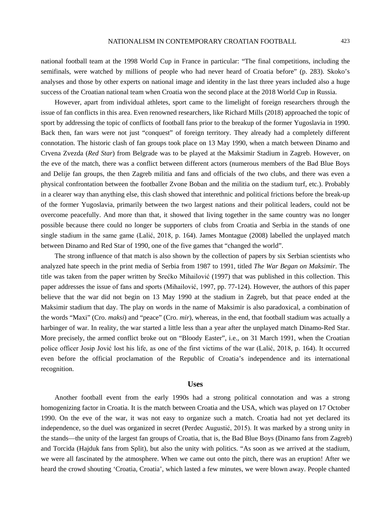national football team at the 1998 World Cup in France in particular: "The final competitions, including the semifinals, were watched by millions of people who had never heard of Croatia before" (p. 283). Skoko's analyses and those by other experts on national image and identity in the last three years included also a huge success of the Croatian national team when Croatia won the second place at the 2018 World Cup in Russia.

However, apart from individual athletes, sport came to the limelight of foreign researchers through the issue of fan conflicts in this area. Even renowned researchers, like Richard Mills (2018) approached the topic of sport by addressing the topic of conflicts of football fans prior to the breakup of the former Yugoslavia in 1990. Back then, fan wars were not just "conquest" of foreign territory. They already had a completely different connotation. The historic clash of fan groups took place on 13 May 1990, when a match between Dinamo and Crvena Zvezda (*Red Star*) from Belgrade was to be played at the Maksimir Stadium in Zagreb. However, on the eve of the match, there was a conflict between different actors (numerous members of the Bad Blue Boys and Delije fan groups, the then Zagreb militia and fans and officials of the two clubs, and there was even a physical confrontation between the footballer Zvone Boban and the militia on the stadium turf, etc.). Probably in a clearer way than anything else, this clash showed that interethnic and political frictions before the break-up of the former Yugoslavia, primarily between the two largest nations and their political leaders, could not be overcome peacefully. And more than that, it showed that living together in the same country was no longer possible because there could no longer be supporters of clubs from Croatia and Serbia in the stands of one single stadium in the same game (Lalić, 2018, p. 164). James Montague (2008) labelled the unplayed match between Dinamo and Red Star of 1990, one of the five games that "changed the world".

The strong influence of that match is also shown by the collection of papers by six Serbian scientists who analyzed hate speech in the print media of Serbia from 1987 to 1991, titled *The War Began on Maksimir*. The title was taken from the paper written by Srećko Mihailović (1997) that was published in this collection. This paper addresses the issue of fans and sports (Mihailović, 1997, pp. 77-124). However, the authors of this paper believe that the war did not begin on 13 May 1990 at the stadium in Zagreb, but that peace ended at the Maksimir stadium that day. The play on words in the name of Maksimir is also paradoxical, a combination of the words "Maxi" (Cro. *maksi*) and "peace" (Cro. *mir*), whereas, in the end, that football stadium was actually a harbinger of war. In reality, the war started a little less than a year after the unplayed match Dinamo-Red Star. More precisely, the armed conflict broke out on "Bloody Easter", i.e., on 31 March 1991, when the Croatian police officer Josip Jović lost his life, as one of the first victims of the war (Lalić, 2018, p. 164). It occurred even before the official proclamation of the Republic of Croatia's independence and its international recognition.

#### **Uses**

Another football event from the early 1990s had a strong political connotation and was a strong homogenizing factor in Croatia. It is the match between Croatia and the USA, which was played on 17 October 1990. On the eve of the war, it was not easy to organize such a match. Croatia had not yet declared its independence, so the duel was organized in secret (Perdec Augustić, 2015). It was marked by a strong unity in the stands—the unity of the largest fan groups of Croatia, that is, the Bad Blue Boys (Dinamo fans from Zagreb) and Torcida (Hajduk fans from Split), but also the unity with politics. "As soon as we arrived at the stadium, we were all fascinated by the atmosphere. When we came out onto the pitch, there was an eruption! After we heard the crowd shouting 'Croatia, Croatia', which lasted a few minutes, we were blown away. People chanted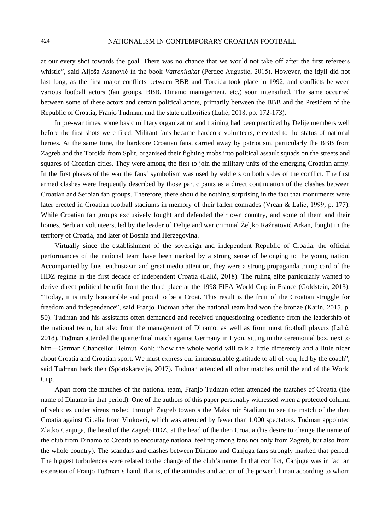at our every shot towards the goal. There was no chance that we would not take off after the first referee's whistle", said Aljoša Asanović in the book *Vatrenilakat* (Perdec Augustić, 2015). However, the idyll did not last long, as the first major conflicts between BBB and Torcida took place in 1992, and conflicts between various football actors (fan groups, BBB, Dinamo management, etc.) soon intensified. The same occurred between some of these actors and certain political actors, primarily between the BBB and the President of the Republic of Croatia, Franjo Tuđman, and the state authorities (Lalić, 2018, pp. 172-173).

In pre-war times, some basic military organization and training had been practiced by Delije members well before the first shots were fired. Militant fans became hardcore volunteers, elevated to the status of national heroes. At the same time, the hardcore Croatian fans, carried away by patriotism, particularly the BBB from Zagreb and the Torcida from Split, organised their fighting mobs into political assault squads on the streets and squares of Croatian cities. They were among the first to join the military units of the emerging Croatian army. In the first phases of the war the fans' symbolism was used by soldiers on both sides of the conflict. The first armed clashes were frequently described by those participants as a direct continuation of the clashes between Croatian and Serbian fan groups. Therefore, there should be nothing surprising in the fact that monuments were later erected in Croatian football stadiums in memory of their fallen comrades (Vrcan & Lalić, 1999, p. 177). While Croatian fan groups exclusively fought and defended their own country, and some of them and their homes, Serbian volunteers, led by the leader of Delije and war criminal Željko Ražnatović Arkan, fought in the territory of Croatia, and later of Bosnia and Herzegovina.

Virtually since the establishment of the sovereign and independent Republic of Croatia, the official performances of the national team have been marked by a strong sense of belonging to the young nation. Accompanied by fans' enthusiasm and great media attention, they were a strong propaganda trump card of the HDZ regime in the first decade of independent Croatia (Lalić, 2018). The ruling elite particularly wanted to derive direct political benefit from the third place at the 1998 FIFA World Cup in France (Goldstein, 2013). "Today, it is truly honourable and proud to be a Croat. This result is the fruit of the Croatian struggle for freedom and independence", said Franjo Tuđman after the national team had won the bronze (Karin, 2015, p. 50). Tuđman and his assistants often demanded and received unquestioning obedience from the leadership of the national team, but also from the management of Dinamo, as well as from most football players (Lalić, 2018). Tuđman attended the quarterfinal match against Germany in Lyon, sitting in the ceremonial box, next to him—German Chancellor Helmut Kohl: "Now the whole world will talk a little differently and a little nicer about Croatia and Croatian sport. We must express our immeasurable gratitude to all of you, led by the coach", said Tuđman back then (Sportskarevija, 2017). Tuđman attended all other matches until the end of the World Cup.

Apart from the matches of the national team, Franjo Tuđman often attended the matches of Croatia (the name of Dinamo in that period). One of the authors of this paper personally witnessed when a protected column of vehicles under sirens rushed through Zagreb towards the Maksimir Stadium to see the match of the then Croatia against Cibalia from Vinkovci, which was attended by fewer than 1,000 spectators. Tuđman appointed Zlatko Canjuga, the head of the Zagreb HDZ, at the head of the then Croatia (his desire to change the name of the club from Dinamo to Croatia to encourage national feeling among fans not only from Zagreb, but also from the whole country). The scandals and clashes between Dinamo and Canjuga fans strongly marked that period. The biggest turbulences were related to the change of the club's name. In that conflict, Canjuga was in fact an extension of Franjo Tuđman's hand, that is, of the attitudes and action of the powerful man according to whom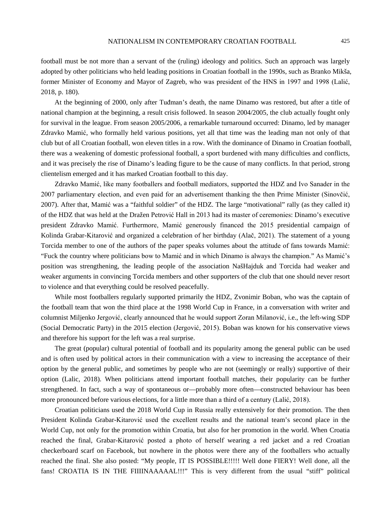football must be not more than a servant of the (ruling) ideology and politics. Such an approach was largely adopted by other politicians who held leading positions in Croatian football in the 1990s, such as Branko Mikša, former Minister of Economy and Mayor of Zagreb, who was president of the HNS in 1997 and 1998 (Lalić, 2018, p. 180).

At the beginning of 2000, only after Tuđman's death, the name Dinamo was restored, but after a title of national champion at the beginning, a result crisis followed. In season 2004/2005, the club actually fought only for survival in the league. From season 2005/2006, a remarkable turnaround occurred: Dinamo, led by manager Zdravko Mamić, who formally held various positions, yet all that time was the leading man not only of that club but of all Croatian football, won eleven titles in a row. With the dominance of Dinamo in Croatian football, there was a weakening of domestic professional football, a sport burdened with many difficulties and conflicts, and it was precisely the rise of Dinamo's leading figure to be the cause of many conflicts. In that period, strong clientelism emerged and it has marked Croatian football to this day.

Zdravko Mamić, like many footballers and football mediators, supported the HDZ and Ivo Sanader in the 2007 parliamentary election, and even paid for an advertisement thanking the then Prime Minister (Sinovčić, 2007). After that, Mamić was a "faithful soldier" of the HDZ. The large "motivational" rally (as they called it) of the HDZ that was held at the Dražen Petrović Hall in 2013 had its master of ceremonies: Dinamo's executive president Zdravko Mamić. Furthermore, Mamić generously financed the 2015 presidential campaign of Kolinda Grabar-Kitarović and organized a celebration of her birthday (Alač, 2021). The statement of a young Torcida member to one of the authors of the paper speaks volumes about the attitude of fans towards Mamić: "Fuck the country where politicians bow to Mamić and in which Dinamo is always the champion." As Mamić's position was strengthening, the leading people of the association NašHajduk and Torcida had weaker and weaker arguments in convincing Torcida members and other supporters of the club that one should never resort to violence and that everything could be resolved peacefully.

While most footballers regularly supported primarily the HDZ, Zvonimir Boban, who was the captain of the football team that won the third place at the 1998 World Cup in France, in a conversation with writer and columnist Miljenko Jergović, clearly announced that he would support Zoran Milanović, i.e., the left-wing SDP (Social Democratic Party) in the 2015 election (Jergović, 2015). Boban was known for his conservative views and therefore his support for the left was a real surprise.

The great (popular) cultural potential of football and its popularity among the general public can be used and is often used by political actors in their communication with a view to increasing the acceptance of their option by the general public, and sometimes by people who are not (seemingly or really) supportive of their option (Lalic, 2018). When politicians attend important football matches, their popularity can be further strengthened. In fact, such a way of spontaneous or—probably more often—constructed behaviour has been more pronounced before various elections, for a little more than a third of a century (Lalić, 2018).

Croatian politicians used the 2018 World Cup in Russia really extensively for their promotion. The then President Kolinda Grabar-Kitarović used the excellent results and the national team's second place in the World Cup, not only for the promotion within Croatia, but also for her promotion in the world. When Croatia reached the final, Grabar-Kitarović posted a photo of herself wearing a red jacket and a red Croatian checkerboard scarf on Facebook, but nowhere in the photos were there any of the footballers who actually reached the final. She also posted: "My people, IT IS POSSIBLE!!!!! Well done FIERY! Well done, all the fans! CROATIA IS IN THE FIIIINAAAAAL!!!" This is very different from the usual "stiff" political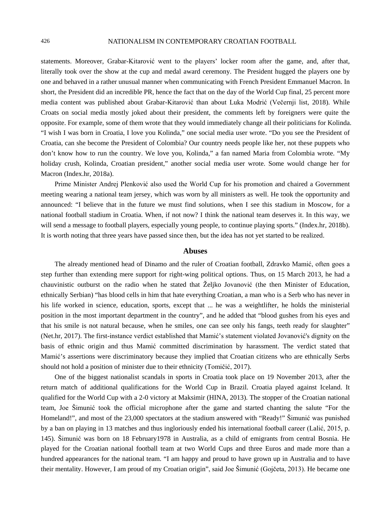statements. Moreover, Grabar-Kitarović went to the players' locker room after the game, and, after that, literally took over the show at the cup and medal award ceremony. The President hugged the players one by one and behaved in a rather unusual manner when communicating with French President Emmanuel Macron. In short, the President did an incredible PR, hence the fact that on the day of the World Cup final, 25 percent more media content was published about Grabar-Kitarović than about Luka Modrić (Večernji list, 2018). While Croats on social media mostly joked about their president, the comments left by foreigners were quite the opposite. For example, some of them wrote that they would immediately change all their politicians for Kolinda. "I wish I was born in Croatia, I love you Kolinda," one social media user wrote. "Do you see the President of Croatia, can she become the President of Colombia? Our country needs people like her, not these puppets who don't know how to run the country. We love you, Kolinda," a fan named Maria from Colombia wrote. "My holiday crush, Kolinda, Croatian president," another social media user wrote. Some would change her for Macron (Index.hr, 2018a).

Prime Minister Andrej Plenković also used the World Cup for his promotion and chaired a Government meeting wearing a national team jersey, which was worn by all ministers as well. He took the opportunity and announced: "I believe that in the future we must find solutions, when I see this stadium in Moscow, for a national football stadium in Croatia. When, if not now? I think the national team deserves it. In this way, we will send a message to football players, especially young people, to continue playing sports." (Index.hr, 2018b). It is worth noting that three years have passed since then, but the idea has not yet started to be realized.

## **Abuses**

The already mentioned head of Dinamo and the ruler of Croatian football, Zdravko Mamić, often goes a step further than extending mere support for right-wing political options. Thus, on 15 March 2013, he had a chauvinistic outburst on the radio when he stated that Željko Jovanović (the then Minister of Education, ethnically Serbian) "has blood cells in him that hate everything Croatian, a man who is a Serb who has never in his life worked in science, education, sports, except that ... he was a weightlifter, he holds the ministerial position in the most important department in the country", and he added that "blood gushes from his eyes and that his smile is not natural because, when he smiles, one can see only his fangs, teeth ready for slaughter" (Net.hr, 2017). The first-instance verdict established that Mamić's statement violated Jovanović's dignity on the basis of ethnic origin and thus Mamić committed discrimination by harassment. The verdict stated that Mamić's assertions were discriminatory because they implied that Croatian citizens who are ethnically Serbs should not hold a position of minister due to their ethnicity (Tomičić, 2017).

One of the biggest nationalist scandals in sports in Croatia took place on 19 November 2013, after the return match of additional qualifications for the World Cup in Brazil. Croatia played against Iceland. It qualified for the World Cup with a 2-0 victory at Maksimir (HINA, 2013). The stopper of the Croatian national team, Joe Šimunić took the official microphone after the game and started chanting the salute "For the Homeland!", and most of the 23,000 spectators at the stadium answered with "Ready!" Šimunić was punished by a ban on playing in 13 matches and thus ingloriously ended his international football career (Lalić, 2015, p. 145). Šimunić was born on 18 February1978 in Australia, as a child of emigrants from central Bosnia. He played for the Croatian national football team at two World Cups and three Euros and made more than a hundred appearances for the national team. "I am happy and proud to have grown up in Australia and to have their mentality. However, I am proud of my Croatian origin", said Joe Šimunić (Gojčeta, 2013). He became one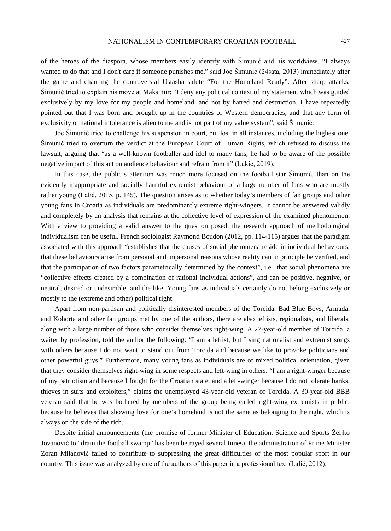of the heroes of the diaspora, whose members easily identify with Šimunić and his worldview. "I always wanted to do that and I don't care if someone punishes me," said Joe Šimunić (24sata, 2013) immediately after the game and chanting the controversial Ustasha salute "For the Homeland Ready". After sharp attacks, Šimunić tried to explain his move at Maksimir: "I deny any political context of my statement which was guided exclusively by my love for my people and homeland, and not by hatred and destruction. I have repeatedly pointed out that I was born and brought up in the countries of Western democracies, and that any form of exclusivity or national intolerance is alien to me and is not part of my value system", said Šimunić.

Joe Šimunić tried to challenge his suspension in court, but lost in all instances, including the highest one. Šimunić tried to overturn the verdict at the European Court of Human Rights, which refused to discuss the lawsuit, arguing that "as a well-known footballer and idol to many fans, he had to be aware of the possible negative impact of this act on audience behaviour and refrain from it" (Lukić, 2019).

In this case, the public's attention was much more focused on the football star Šimunić, than on the evidently inappropriate and socially harmful extremist behaviour of a large number of fans who are mostly rather young (Lalić, 2015, p. 145). The question arises as to whether today's members of fan groups and other young fans in Croatia as individuals are predominantly extreme right-wingers. It cannot be answered validly and completely by an analysis that remains at the collective level of expression of the examined phenomenon. With a view to providing a valid answer to the question posed, the research approach of methodological individualism can be useful. French sociologist Raymond Boudon (2012, pp. 114-115) argues that the paradigm associated with this approach "establishes that the causes of social phenomena reside in individual behaviours, that these behaviours arise from personal and impersonal reasons whose reality can in principle be verified, and that the participation of two factors parametrically determined by the context", i.e., that social phenomena are "collective effects created by a combination of rational individual actions", and can be positive, negative, or neutral, desired or undesirable, and the like. Young fans as individuals certainly do not belong exclusively or mostly to the (extreme and other) political right.

Apart from non-partisan and politically disinterested members of the Torcida, Bad Blue Boys, Armada, and Kohorta and other fan groups met by one of the authors, there are also leftists, regionalists, and liberals, along with a large number of those who consider themselves right-wing. A 27-year-old member of Torcida, a waiter by profession, told the author the following: "I am a leftist, but I sing nationalist and extremist songs with others because I do not want to stand out from Torcida and because we like to provoke politicians and other powerful guys." Furthermore, many young fans as individuals are of mixed political orientation, given that they consider themselves right-wing in some respects and left-wing in others. "I am a right-winger because of my patriotism and because I fought for the Croatian state, and a left-winger because I do not tolerate banks, thieves in suits and exploiters," claims the unemployed 43-year-old veteran of Torcida. A 30-year-old BBB veteran said that he was bothered by members of the group being called right-wing extremists in public, because he believes that showing love for one's homeland is not the same as belonging to the right, which is always on the side of the rich.

Despite initial announcements (the promise of former Minister of Education, Science and Sports Željko Jovanović to "drain the football swamp" has been betrayed several times), the administration of Prime Minister Zoran Milanović failed to contribute to suppressing the great difficulties of the most popular sport in our country. This issue was analyzed by one of the authors of this paper in a professional text (Lalić, 2012).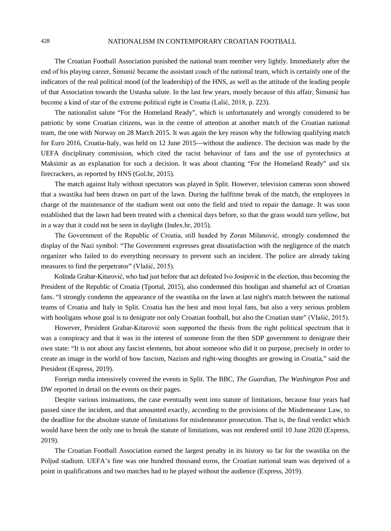## 428 NATIONALISM IN CONTEMPORARY CROATIAN FOOTBALL

The Croatian Football Association punished the national team member very lightly. Immediately after the end of his playing career, Šimunić became the assistant coach of the national team, which is certainly one of the indicators of the real political mood (of the leadership) of the HNS, as well as the attitude of the leading people of that Association towards the Ustasha salute. In the last few years, mostly because of this affair, Šimunić has become a kind of star of the extreme political right in Croatia (Lalić, 2018, p. 223).

The nationalist salute "For the Homeland Ready", which is unfortunately and wrongly considered to be patriotic by some Croatian citizens, was in the centre of attention at another match of the Croatian national team, the one with Norway on 28 March 2015. It was again the key reason why the following qualifying match for Euro 2016, Croatia-Italy, was held on 12 June 2015—without the audience. The decision was made by the UEFA disciplinary commission, which cited the racist behaviour of fans and the use of pyrotechnics at Maksimir as an explanation for such a decision. It was about chanting "For the Homeland Ready" and six firecrackers, as reported by HNS (Gol.hr, 2015).

The match against Italy without spectators was played in Split. However, television cameras soon showed that a swastika had been drawn on part of the lawn. During the halftime break of the match, the employees in charge of the maintenance of the stadium went out onto the field and tried to repair the damage. It was soon established that the lawn had been treated with a chemical days before, so that the grass would turn yellow, but in a way that it could not be seen in daylight (Index.hr, 2015).

The Government of the Republic of Croatia, still headed by Zoran Milanović, strongly condemned the display of the Nazi symbol: "The Government expresses great dissatisfaction with the negligence of the match organizer who failed to do everything necessary to prevent such an incident. The police are already taking measures to find the perpetrator" (Vlašić, 2015).

Kolinda Grabar-Kitarović, who had just before that act defeated Ivo Josipović in the election, thus becoming the President of the Republic of Croatia (Tportal, 2015), also condemned this hooligan and shameful act of Croatian fans. "I strongly condemn the appearance of the swastika on the lawn at last night's match between the national teams of Croatia and Italy in Split. Croatia has the best and most loyal fans, but also a very serious problem with hooligans whose goal is to denigrate not only Croatian football, but also the Croatian state" (Vlašić, 2015).

However, President Grabar-Kitarović soon supported the thesis from the right political spectrum that it was a conspiracy and that it was in the interest of someone from the then SDP government to denigrate their own state: "It is not about any fascist elements, but about someone who did it on purpose, precisely in order to create an image in the world of how fascism, Nazism and right-wing thoughts are growing in Croatia," said the President (Express, 2019).

Foreign media intensively covered the events in Split. The BBC, *The Guardi*an, *The Washington Post* and DW reported in detail on the events on their pages.

Despite various insinuations, the case eventually went into statute of limitations, because four years had passed since the incident, and that amounted exactly, according to the provisions of the Misdemeanor Law, to the deadline for the absolute statute of limitations for misdemeanor prosecution. That is, the final verdict which would have been the only one to break the statute of limitations, was not rendered until 10 June 2020 (Express, 2019).

The Croatian Football Association earned the largest penalty in its history so far for the swastika on the Poljud stadium. UEFA's fine was one hundred thousand euros, the Croatian national team was deprived of a point in qualifications and two matches had to be played without the audience (Express, 2019).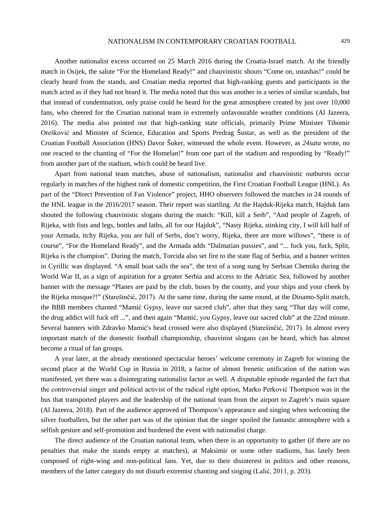Another nationalist excess occurred on 25 March 2016 during the Croatia-Israel match. At the friendly match in Osijek, the salute "For the Homeland Ready!" and chauvinistic shouts "Come on, ustashas!" could be clearly heard from the stands, and Croatian media reported that high-ranking guests and participants in the match acted as if they had not heard it. The media noted that this was another in a series of similar scandals, but that instead of condemnation, only praise could be heard for the great atmosphere created by just over 10,000 fans, who cheered for the Croatian national team in extremely unfavourable weather conditions (Al Jazeera, 2016). The media also pointed out that high-ranking state officials, primarily Prime Minister Tihomir Orešković and Minister of Science, Education and Sports Predrag Šustar, as well as the president of the Croatian Football Association (HNS) Davor Šuker, witnessed the whole event. However, as *24sata* wrote, no one reacted to the chanting of "For the Homelan!" from one part of the stadium and responding by "Ready!" from another part of the stadium, which could be heard live.

Apart from national team matches, abuse of nationalism, nationalist and chauvinistic outbursts occur regularly in matches of the highest rank of domestic competition, the First Croatian Football League (HNL). As part of the "Direct Prevention of Fan Violence" project, HHO observers followed the matches in 24 rounds of the HNL league in the 2016/2017 season. Their report was startling. At the Hajduk-Rijeka match, Hajduk fans shouted the following chauvinistic slogans during the match: "Kill, kill a Serb", "And people of Zagreb, of Rijeka, with fists and legs, bottles and laths, all for our Hajduk", "Nasty Rijeka, stinking city, I will kill half of your Armada, itchy Rijeka, you are full of Serbs, don't worry, Rijeka, there are more willows", "there is of course", "For the Homeland Ready", and the Armada adds "Dalmatian pussies", and "... fuck you, fuck, Split, Rijeka is the champion". During the match, Torcida also set fire to the state flag of Serbia, and a banner written in Cyrillic was displayed. "A small boat sails the sea", the text of a song sung by Serbian Chetniks during the World War II, as a sign of aspiration for a greater Serbia and access to the Adriatic Sea, followed by another banner with the message "Planes are paid by the club, buses by the county, and your ships and your cheek by the Rijeka mosque?!" (Starešinčić, 2017). At the same time, during the same round, at the Dinamo-Split match, the BBB members chanted "Mamić Gypsy, leave our sacred club", after that they sang "That day will come, the drug addict will fuck off ...", and then again "Mamić, you Gypsy, leave our sacred club" at the 22nd minute. Several banners with Zdravko Mamić's head crossed were also displayed (Starešinčić, 2017). In almost every important match of the domestic football championship, chauvinist slogans can be heard, which has almost become a ritual of fan groups.

A year later, at the already mentioned spectacular heroes' welcome ceremony in Zagreb for winning the second place at the World Cup in Russia in 2018, a factor of almost frenetic unification of the nation was manifested, yet there was a disintegrating nationalist factor as well. A disputable episode regarded the fact that the controversial singer and political activist of the radical right option, Marko Perković Thompson was in the bus that transported players and the leadership of the national team from the airport to Zagreb's main square (Al Jazeera, 2018). Part of the audience approved of Thompson's appearance and singing when welcoming the silver footballers, but the other part was of the opinion that the singer spoiled the fantastic atmosphere with a selfish gesture and self-promotion and burdened the event with nationalist charge.

The direct audience of the Croatian national team, when there is an opportunity to gather (if there are no penalties that make the stands empty at matches), at Maksimir or some other stadiums, has lately been composed of right-wing and non-political fans. Yet, due to their disinterest in politics and other reasons, members of the latter category do not disturb extremist chanting and singing (Lalić, 2011, p. 203).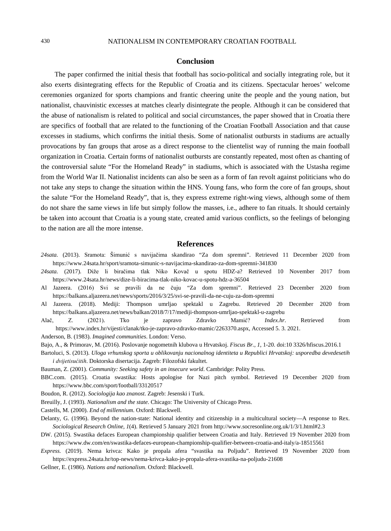# **Conclusion**

The paper confirmed the initial thesis that football has socio-political and socially integrating role, but it also exerts disintegrating effects for the Republic of Croatia and its citizens. Spectacular heroes' welcome ceremonies organized for sports champions and frantic cheering unite the people and the young nation, but nationalist, chauvinistic excesses at matches clearly disintegrate the people. Although it can be considered that the abuse of nationalism is related to political and social circumstances, the paper showed that in Croatia there are specifics of football that are related to the functioning of the Croatian Football Association and that cause excesses in stadiums, which confirms the initial thesis. Some of nationalist outbursts in stadiums are actually provocations by fan groups that arose as a direct response to the clientelist way of running the main football organization in Croatia. Certain forms of nationalist outbursts are constantly repeated, most often as chanting of the controversial salute "For the Homeland Ready" in stadiums, which is associated with the Ustasha regime from the World War II. Nationalist incidents can also be seen as a form of fan revolt against politicians who do not take any steps to change the situation within the HNS. Young fans, who form the core of fan groups, shout the salute "For the Homeland Ready", that is, they express extreme right-wing views, although some of them do not share the same views in life but simply follow the masses, i.e., adhere to fan rituals. It should certainly be taken into account that Croatia is a young state, created amid various conflicts, so the feelings of belonging to the nation are all the more intense.

#### **References**

- *24sata.* (2013). Sramota: Šimunić s navijačima skandirao "Za dom spremni". Retrieved 11 December 2020 from https://www.24sata.hr/sport/sramota-simunic-s-navijacima-skandirao-za-dom-spremni-341830
- *24sata.* (2017). Diže li biračima tlak Niko Kovač u spotu HDZ-a? Retrieved 10 November 2017 from https://www.24sata.hr/news/dize-li-biracima-tlak-niko-kovac-u-spotu-hdz-a-36504
- Al Jazeera. (2016) Svi se pravili da ne čuju "Za dom spremni". Retrieved 23 December 2020 from https://balkans.aljazeera.net/news/sports/2016/3/25/svi-se-pravili-da-ne-cuju-za-dom-spremni
- Al Jazeera. (2018). Mediji: Thompson umrljao spektakl u Zagrebu. Retrieved 20 December 2020 from https://balkans.aljazeera.net/news/balkan/2018/7/17/mediji-thompson-umrljao-spektakl-u-zagrebu
- Alač, Z. (2021). Tko je zapravo Zdravko Mamić? *Index.hr*. Retrieved from https://www.index.hr/vijesti/clanak/tko-je-zapravo-zdravko-mamic/2263370.aspx, Accessed 5. 3. 2021.
- Anderson, B. (1983). *Imagined communities*. London: Verso.
- Bajo, A., & Primorav, M. (2016). Poslovanje nogometnih klubova u Hrvatskoj. *Fiscus Br., 1*, 1-20. doi:10 3326/hfiscus.2016.1
- Bartoluci, S. (2013). *Uloga vrhunskog sporta u oblikovanju nacionalnog identiteta u Republici Hrvatskoj: usporedba devedesetih i dvijetisućitih*. Doktorska disertacija. Zagreb: Filozofski fakultet.
- Bauman, Z. (2001). *Community: Seeking safety in an insecure world*. Cambridge: Polity Press.
- BBC.com. (2015). Croatia swastika: Hosts apologise for Nazi pitch symbol. Retrieved 19 December 2020 from https://www.bbc.com/sport/football/33120517
- Boudon, R. (2012). *Sociologija kao znanost*. Zagreb: Jesenski i Turk.
- Breuilly, J. (1993). *Nationalism and the state*. Chicago: The University of Chicago Press.
- Castells, M. (2000). *End of millennium*. Oxford: Blackwell.
- Delanty, G. (1996). Beyond the nation-state: National identity and citizenship in a multicultural society—A response to Rex. *Sociological Research Online, 1*(4). Retrieved 5 January 2021 from http://www.socresonline.org.uk/1/3/1.html#2.3
- DW. (2015). Swastika defaces European championship qualifier between Croatia and Italy. Retrieved 19 November 2020 from https://www.dw.com/en/swastika-defaces-european-championship-qualifier-between-croatia-and-italy/a-18515561
- *Express.* (2019). Nema krivca: Kako je propala afera "svastika na Poljudu". Retrieved 19 November 2020 from https://express.24sata.hr/top-news/nema-krivca-kako-je-propala-afera-svastika-na-poljudu-21608
- Gellner, E. (1986). *Nations and nationalism*. Oxford: Blackwell.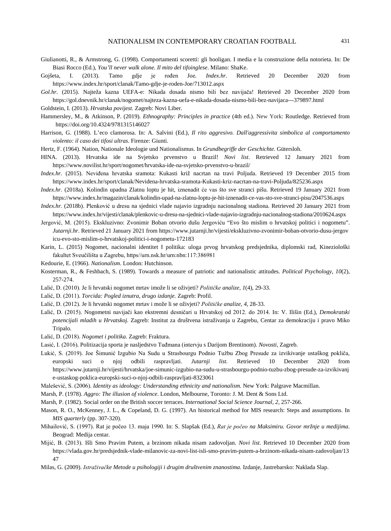- Giulianotti, R., & Armstrong, G. (1998). Comportamenti scoretti: gli hooligan. I media e la construzione della notorieta. In: De Biasi Rocco (Ed.), *You'll never walk alone. Il mito del tifoinglese*. Milano: ShaKe.
- Gojšeta, I. (2013). Tamo gdje je rođen Joe. *Index.hr*. Retrieved 20 December 2020 from https://www.index.hr/sport/clanak/Tamo-gdje-je-roden-Joe/713012.aspx
- *Gol.hr.* (2015). Najteža kazna UEFA-e: Nikada dosada nismo bili bez navijača! Retrieved 20 December 2020 from https://gol.dnevnik.hr/clanak/nogomet/najteza-kazna-uefa-e-nikada-dosada-nismo-bili-bez-navijaca---379897.html
- Goldstein, I. (2013). *Hrvatska povijest*. Zagreb: Novi Liber.
- Hammersley, M., & Atkinson, P. (2019). *Ethnography: Principles in practice* (4th ed.). New York: Routledge. Retrieved from https://doi.org/10.4324/9781315146027
- Harrison, G. (1988). L'eco clamorosa. In: A. Salvini (Ed.), *Il rito aggresivo. Dall'aggressivita simbolica al comportamento violento: il caso dei tifosi ultras*. Firenze: Giunti.
- Hertz, F. (1964). Nation, Nationale Ideologie und Nationalismus. In *Grundbegriffe der Geschichte*. Gütersloh.
- HINA. (2013). Hrvatska ide na Svjetsko prvenstvo u Brazil! *Novi list*. Retrieved 12 January 2021 from https://www.novilist.hr/sport/nogomet/hrvatska-ide-na-svjetsko-prvenstvo-u-brazil/
- *Index.hr.* (2015). Neviđena hrvatska sramota: Kukasti križ nacrtan na travi Poljuda. Retrieved 19 December 2015 from https://www.index.hr/sport/clanak/Nevidena-hrvatska-sramota-Kukasti-kriz-nacrtan-na-travi-Poljuda/825236.aspx
- *Index.hr.* (2018a). Kolindin upadna Zlatnu loptu je hit, iznenadit će vas što sve stranci pišu. Retrieved 19 January 2021 from https://www.index.hr/magazin/clanak/kolindin-upad-na-zlatnu-loptu-je-hit-iznenadit-ce-vas-sto-sve-stranci-pisu/2047536.aspx
- *Index.hr.* (2018b). Plenković u dresu na sjednici vlade najavio izgradnju nacionalnog stadiona. Retrieved 20 January 2021 from https://www.index.hr/vijesti/clanak/plenkovic-u-dresu-na-sjednici-vlade-najavio-izgradnju-nacionalnog-stadiona/2010624.aspx
- Jergović, M. (2015). Ekskluzivno: Zvonimir Boban otvorio dušu Jergoviću "Evo što mislim o hrvatskoj politici i nogometu". *Jutarnji.hr*. Retrieved 21 January 2021 from https://www.jutarnji.hr/vijesti/ekskluzivno-zvonimir-boban-otvorio-dusu-jergov icu-evo-sto-mislim-o-hrvatskoj-politici-i-nogometu-172183
- Karin, L. (2015) Nogomet, nacionalni identitet I politika: uloga prvog hrvatskog predsjednika, diplomski rad, Kineziološki fakultet Sveučilišta u Zagrebu, https//urn.nsk.hr/urn:nbn:117:386981
- Kedourie, E. (1966). *Nationalism*. London: Hutchinson.
- Kosterman, R., & Feshbach, S. (1989). Towards a measure of patriotic and nationalistic attitudes. *Political Psychology, 10*(2), 257-274.
- Lalić, D. (2010). Je li hrvatski nogomet mrtav imože li se oživjeti? *Političke analize, 1*(4), 29-33.
- Lalić, D. (2011). *Torcida: Pogled iznutra, drugo izdanje.* Zagreb: Profil.
- Lalić, D. (2012). Je li hrvatski nogomet mrtav i može li se oživjeti? *Političke analize, 4,* 28-33.
- Lalić, D. (2015). Nogometni navijači kao ekstremni desničari u Hrvatskoj od 2012. do 2014. In: V. Ilišin (Ed.), *Demokratski potencijali mladih u Hrvatskoj.* Zagreb: Institut za društvena istraživanja u Zagrebu, Centar za demokraciju i pravo Miko Tripalo.
- Lalić, D. (2018). *Nogomet i politika*. Zagreb: Fraktura.
- Lasić, I. (2016). Politizacija sporta je nasljedstvo Tuđmana (intervju s Darijom Brentinom). *Novosti*, Zagreb.
- Lukić, S. (2019). Joe Šimunić Izgubio Na Sudu u Strasbourgu Podnio Tužbu Zbog Presude za izvikivanje ustaškog pokliča, europski suci o njoj odbili raspravljati. *Jutarnji list*. Retrieved 10 December 2020 from https://www.jutarnji.hr/vijesti/hrvatska/joe-simunic-izgubio-na-sudu-u-strasbourgu-podnio-tuzbu-zbog-presude-za-izvikivanj e-ustaskog-poklica-europski-suci-o-njoj-odbili-raspravljati-8323061
- Malešević, S. (2006). *Identity as ideology: Understanding ethnicity and nationalism.* New York: Palgrave Macmillan.
- Marsh, P. (1978). *Aggro: The illusion of violence*. London, Melbourne, Toronto: J. M. Dent & Sons Ltd.
- Marsh, P. (1982). Social order on the British soccer terraces. *International Social Science Journal, 2*, 257-266.
- Mason, R. O., McKenney, J. L., & Copeland, D. G. (1997). An historical method for MIS research: Steps and assumptions. In *MIS quarterly* (pp. 307-320).
- Mihailović, S. (1997). Rat je počeo 13. maja 1990. In: S. Slapšak (Ed.), *Rat je počeo na Maksimiru. Govor mržnje u medijima*. Beograd: Medija centar.
- Mijić, B. (2013). Išli Smo Pravim Putem, a brzinom nikada nisam zadovoljan. *Novi list*. Retrieved 10 December 2020 from https://vlada.gov.hr/predsjednik-vlade-milanovic-za-novi-list-isli-smo-pravim-putem-a-brzinom-nikada-nisam-zadovoljan/13 47
- Milas, G. (2009). *Istraživačke Metode u psihologiji i drugim društvenim znanostima*. Izdanje, Jastrebarsko: Naklada Slap.